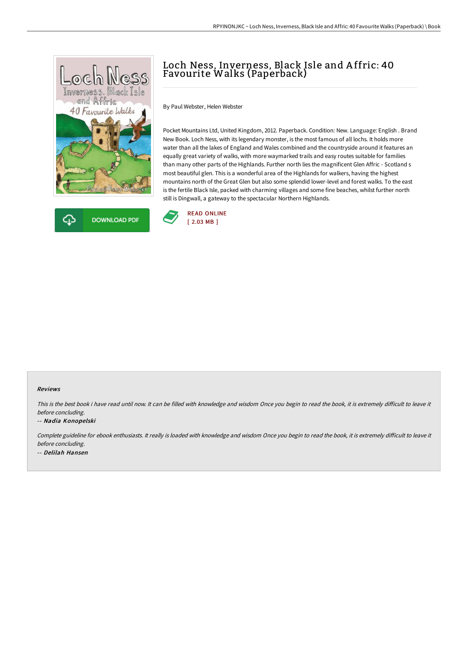



# Loch Ness, Inverness, Black Isle and A ffric: 40 Favourite Walks (Paperback)

By Paul Webster, Helen Webster

Pocket Mountains Ltd, United Kingdom, 2012. Paperback. Condition: New. Language: English . Brand New Book. Loch Ness, with its legendary monster, is the most famous of all lochs. It holds more water than all the lakes of England and Wales combined and the countryside around it features an equally great variety of walks, with more waymarked trails and easy routes suitable for families than many other parts of the Highlands. Further north lies the magnificent Glen Affric - Scotland s most beautiful glen. This is a wonderful area of the Highlands for walkers, having the highest mountains north of the Great Glen but also some splendid lower-level and forest walks. To the east is the fertile Black Isle, packed with charming villages and some fine beaches, whilst further north still is Dingwall, a gateway to the spectacular Northern Highlands.



#### Reviews

This is the best book i have read until now. It can be filled with knowledge and wisdom Once you begin to read the book, it is extremely difficult to leave it before concluding.

#### -- Nadia Konopelski

Complete guideline for ebook enthusiasts. It really is loaded with knowledge and wisdom Once you begin to read the book, it is extremely difficult to leave it before concluding. -- Delilah Hansen